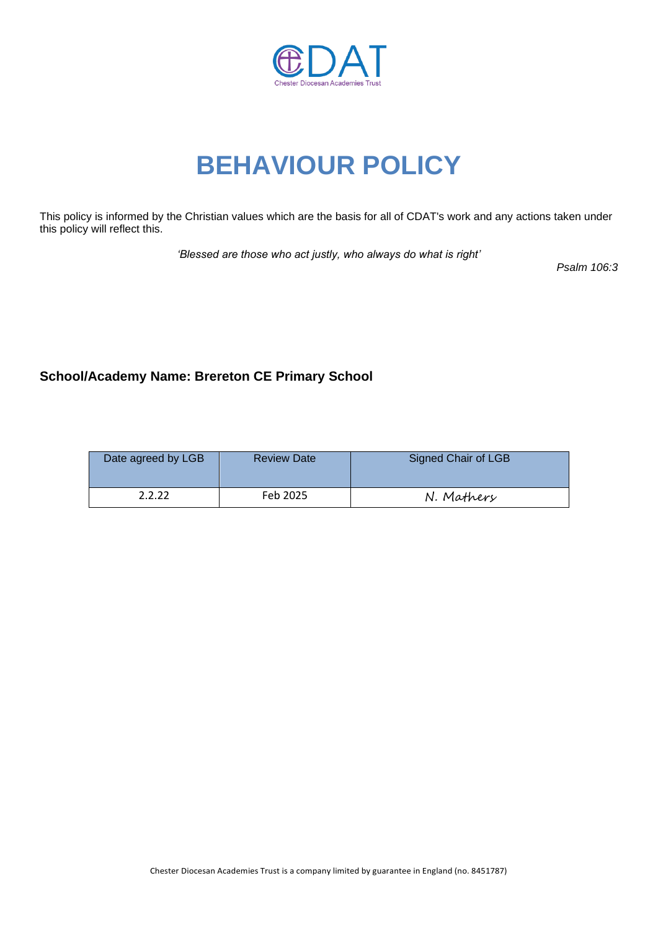

# **BEHAVIOUR POLICY**

This policy is informed by the Christian values which are the basis for all of CDAT's work and any actions taken under this policy will reflect this.

*'Blessed are those who act justly, who always do what is right'*

*Psalm 106:3*

# **School/Academy Name: Brereton CE Primary School**

| Date agreed by LGB | <b>Review Date</b> | <b>Signed Chair of LGB</b> |
|--------------------|--------------------|----------------------------|
| 2222               | Feb 2025           | N. Mathery                 |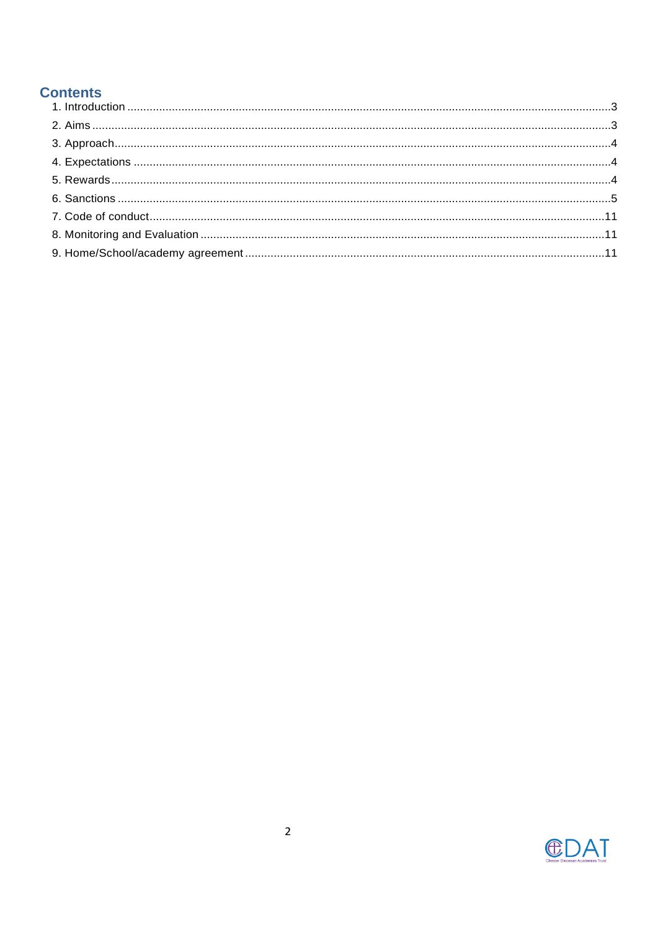# **Contents**

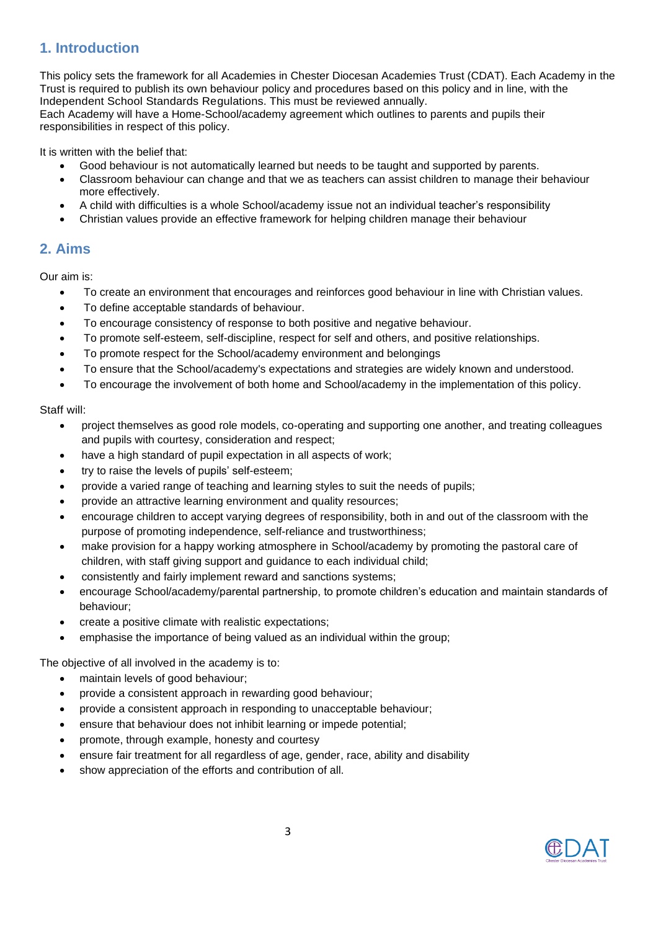# <span id="page-2-0"></span>**1. Introduction**

This policy sets the framework for all Academies in Chester Diocesan Academies Trust (CDAT). Each Academy in the Trust is required to publish its own behaviour policy and procedures based on this policy and in line, with the Independent School Standards Regulations. This must be reviewed annually.

Each Academy will have a Home-School/academy agreement which outlines to parents and pupils their responsibilities in respect of this policy.

It is written with the belief that:

- Good behaviour is not automatically learned but needs to be taught and supported by parents.
- Classroom behaviour can change and that we as teachers can assist children to manage their behaviour more effectively.
- A child with difficulties is a whole School/academy issue not an individual teacher's responsibility
- Christian values provide an effective framework for helping children manage their behaviour

# <span id="page-2-1"></span>**2. Aims**

Our aim is:

- To create an environment that encourages and reinforces good behaviour in line with Christian values.
- To define acceptable standards of behaviour.
- To encourage consistency of response to both positive and negative behaviour.
- To promote self-esteem, self-discipline, respect for self and others, and positive relationships.
- To promote respect for the School/academy environment and belongings
- To ensure that the School/academy's expectations and strategies are widely known and understood.
- To encourage the involvement of both home and School/academy in the implementation of this policy.

## Staff will:

- project themselves as good role models, co-operating and supporting one another, and treating colleagues and pupils with courtesy, consideration and respect;
- have a high standard of pupil expectation in all aspects of work;
- try to raise the levels of pupils' self-esteem;
- provide a varied range of teaching and learning styles to suit the needs of pupils;
- provide an attractive learning environment and quality resources;
- encourage children to accept varying degrees of responsibility, both in and out of the classroom with the purpose of promoting independence, self-reliance and trustworthiness;
- make provision for a happy working atmosphere in School/academy by promoting the pastoral care of children, with staff giving support and guidance to each individual child;
- consistently and fairly implement reward and sanctions systems;
- encourage School/academy/parental partnership, to promote children's education and maintain standards of behaviour;
- create a positive climate with realistic expectations;
- emphasise the importance of being valued as an individual within the group;

The objective of all involved in the academy is to:

- maintain levels of good behaviour;
- provide a consistent approach in rewarding good behaviour;
- provide a consistent approach in responding to unacceptable behaviour;
- ensure that behaviour does not inhibit learning or impede potential;
- promote, through example, honesty and courtesy
- ensure fair treatment for all regardless of age, gender, race, ability and disability
- show appreciation of the efforts and contribution of all.

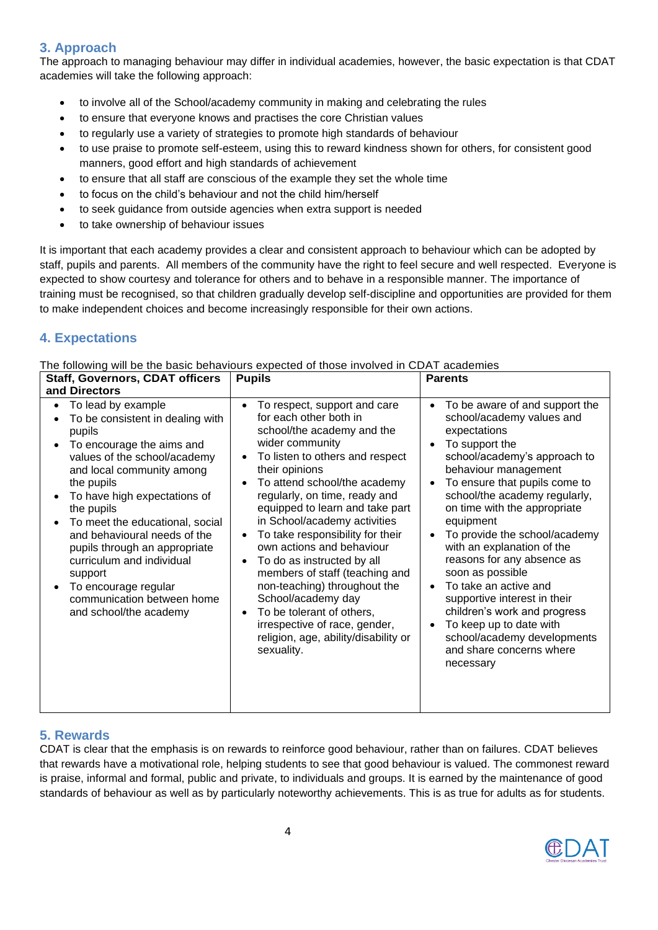# <span id="page-3-0"></span>**3. Approach**

The approach to managing behaviour may differ in individual academies, however, the basic expectation is that CDAT academies will take the following approach:

- to involve all of the School/academy community in making and celebrating the rules
- to ensure that everyone knows and practises the core Christian values
- to regularly use a variety of strategies to promote high standards of behaviour
- to use praise to promote self-esteem, using this to reward kindness shown for others, for consistent good manners, good effort and high standards of achievement
- to ensure that all staff are conscious of the example they set the whole time
- to focus on the child's behaviour and not the child him/herself
- to seek guidance from outside agencies when extra support is needed
- to take ownership of behaviour issues

It is important that each academy provides a clear and consistent approach to behaviour which can be adopted by staff, pupils and parents. All members of the community have the right to feel secure and well respected. Everyone is expected to show courtesy and tolerance for others and to behave in a responsible manner. The importance of training must be recognised, so that children gradually develop self-discipline and opportunities are provided for them to make independent choices and become increasingly responsible for their own actions.

# <span id="page-3-1"></span>**4. Expectations**

The following will be the basic behaviours expected of those involved in CDAT academies

| <b>Staff, Governors, CDAT officers</b><br>and Directors                                                                                                                                                                                                                                                                                                                                                                                                         | <b>Pupils</b>                                                                                                                                                                                                                                                                                                                                                                                                                                                                                                                                                                                                                                                                             | <b>Parents</b>                                                                                                                                                                                                                                                                                                                                                                                                                                                                                                                                                                                 |
|-----------------------------------------------------------------------------------------------------------------------------------------------------------------------------------------------------------------------------------------------------------------------------------------------------------------------------------------------------------------------------------------------------------------------------------------------------------------|-------------------------------------------------------------------------------------------------------------------------------------------------------------------------------------------------------------------------------------------------------------------------------------------------------------------------------------------------------------------------------------------------------------------------------------------------------------------------------------------------------------------------------------------------------------------------------------------------------------------------------------------------------------------------------------------|------------------------------------------------------------------------------------------------------------------------------------------------------------------------------------------------------------------------------------------------------------------------------------------------------------------------------------------------------------------------------------------------------------------------------------------------------------------------------------------------------------------------------------------------------------------------------------------------|
| To lead by example<br>$\bullet$<br>To be consistent in dealing with<br>pupils<br>To encourage the aims and<br>values of the school/academy<br>and local community among<br>the pupils<br>To have high expectations of<br>the pupils<br>To meet the educational, social<br>and behavioural needs of the<br>pupils through an appropriate<br>curriculum and individual<br>support<br>To encourage regular<br>communication between home<br>and school/the academy | To respect, support and care<br>$\bullet$<br>for each other both in<br>school/the academy and the<br>wider community<br>To listen to others and respect<br>$\bullet$<br>their opinions<br>To attend school/the academy<br>$\bullet$<br>regularly, on time, ready and<br>equipped to learn and take part<br>in School/academy activities<br>To take responsibility for their<br>$\bullet$<br>own actions and behaviour<br>To do as instructed by all<br>$\bullet$<br>members of staff (teaching and<br>non-teaching) throughout the<br>School/academy day<br>To be tolerant of others,<br>$\bullet$<br>irrespective of race, gender,<br>religion, age, ability/disability or<br>sexuality. | To be aware of and support the<br>school/academy values and<br>expectations<br>To support the<br>school/academy's approach to<br>behaviour management<br>To ensure that pupils come to<br>school/the academy regularly,<br>on time with the appropriate<br>equipment<br>To provide the school/academy<br>with an explanation of the<br>reasons for any absence as<br>soon as possible<br>To take an active and<br>$\bullet$<br>supportive interest in their<br>children's work and progress<br>To keep up to date with<br>school/academy developments<br>and share concerns where<br>necessary |

# <span id="page-3-2"></span>**5. Rewards**

CDAT is clear that the emphasis is on rewards to reinforce good behaviour, rather than on failures. CDAT believes that rewards have a motivational role, helping students to see that good behaviour is valued. The commonest reward is praise, informal and formal, public and private, to individuals and groups. It is earned by the maintenance of good standards of behaviour as well as by particularly noteworthy achievements. This is as true for adults as for students.

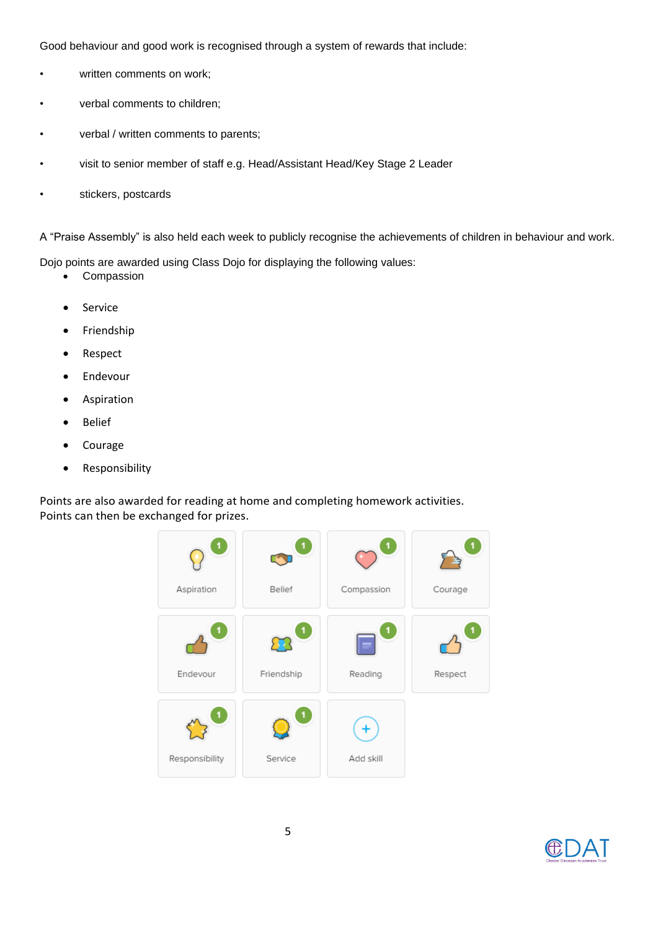<span id="page-4-0"></span>Good behaviour and good work is recognised through a system of rewards that include:

- written comments on work;
- verbal comments to children;
- verbal / written comments to parents;
- visit to senior member of staff e.g. Head/Assistant Head/Key Stage 2 Leader
- stickers, postcards

A "Praise Assembly" is also held each week to publicly recognise the achievements of children in behaviour and work.

Dojo points are awarded using Class Dojo for displaying the following values:

- Compassion
- Service
- Friendship
- Respect
- Endevour
- **Aspiration**
- Belief
- Courage
- Responsibility

Points are also awarded for reading at home and completing homework activities. Points can then be exchanged for prizes.



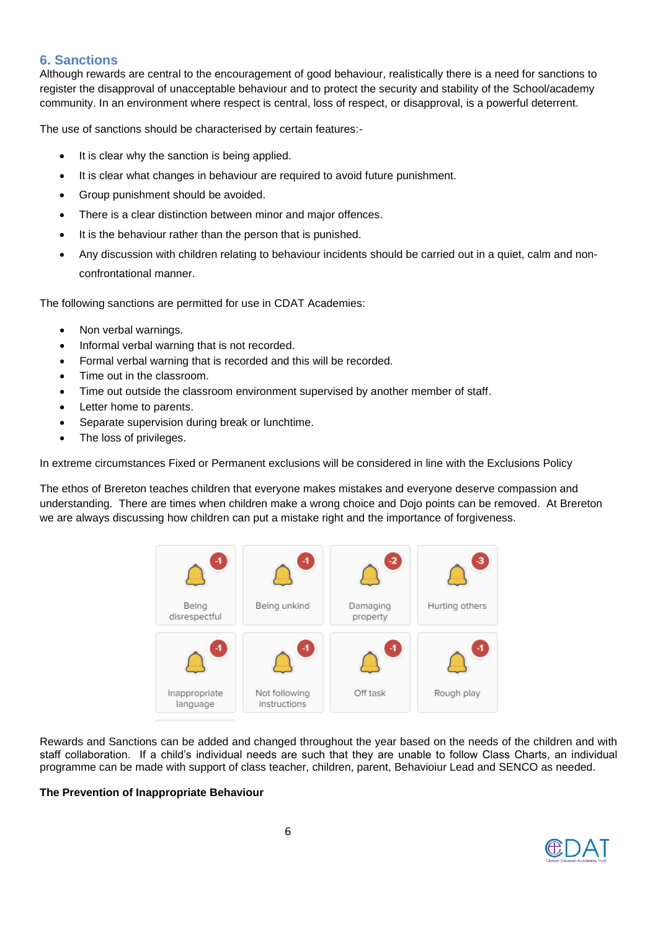# **6. Sanctions**

Although rewards are central to the encouragement of good behaviour, realistically there is a need for sanctions to register the disapproval of unacceptable behaviour and to protect the security and stability of the School/academy community. In an environment where respect is central, loss of respect, or disapproval, is a powerful deterrent.

The use of sanctions should be characterised by certain features:-

- It is clear why the sanction is being applied.
- It is clear what changes in behaviour are required to avoid future punishment.
- Group punishment should be avoided.
- There is a clear distinction between minor and major offences.
- It is the behaviour rather than the person that is punished.
- Any discussion with children relating to behaviour incidents should be carried out in a quiet, calm and nonconfrontational manner.

The following sanctions are permitted for use in CDAT Academies:

- Non verbal warnings.
- Informal verbal warning that is not recorded.
- Formal verbal warning that is recorded and this will be recorded.
- Time out in the classroom.
- Time out outside the classroom environment supervised by another member of staff.
- Letter home to parents.
- Separate supervision during break or lunchtime.
- The loss of privileges.

In extreme circumstances Fixed or Permanent exclusions will be considered in line with the Exclusions Policy

The ethos of Brereton teaches children that everyone makes mistakes and everyone deserve compassion and understanding. There are times when children make a wrong choice and Dojo points can be removed. At Brereton we are always discussing how children can put a mistake right and the importance of forgiveness.



Rewards and Sanctions can be added and changed throughout the year based on the needs of the children and with staff collaboration. If a child's individual needs are such that they are unable to follow Class Charts, an individual programme can be made with support of class teacher, children, parent, Behavioiur Lead and SENCO as needed.

## **The Prevention of Inappropriate Behaviour**

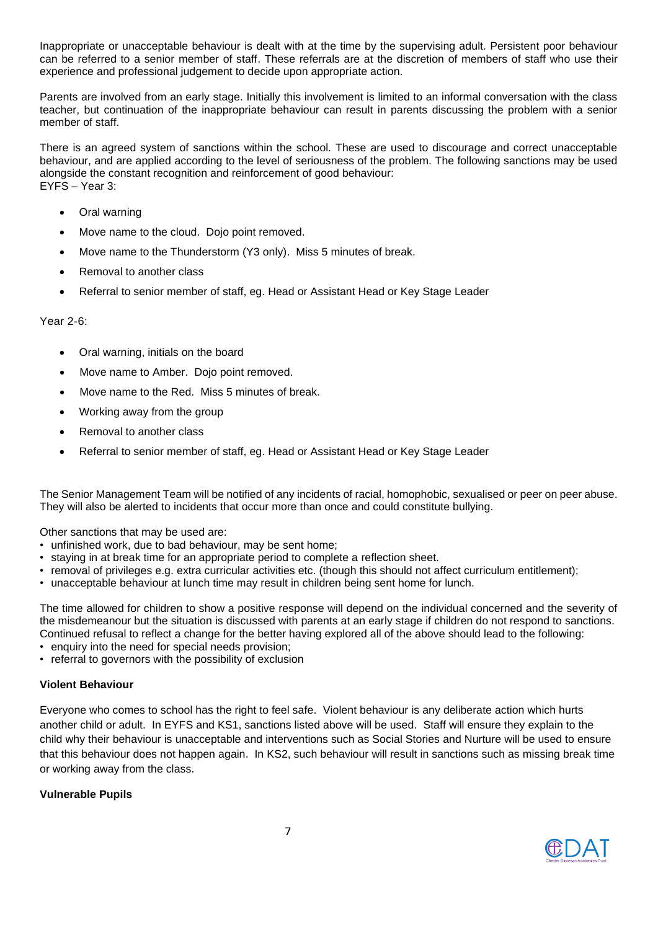Inappropriate or unacceptable behaviour is dealt with at the time by the supervising adult. Persistent poor behaviour can be referred to a senior member of staff. These referrals are at the discretion of members of staff who use their experience and professional judgement to decide upon appropriate action.

Parents are involved from an early stage. Initially this involvement is limited to an informal conversation with the class teacher, but continuation of the inappropriate behaviour can result in parents discussing the problem with a senior member of staff.

There is an agreed system of sanctions within the school. These are used to discourage and correct unacceptable behaviour, and are applied according to the level of seriousness of the problem. The following sanctions may be used alongside the constant recognition and reinforcement of good behaviour: EYFS – Year 3:

- Oral warning
- Move name to the cloud. Dojo point removed.
- Move name to the Thunderstorm (Y3 only). Miss 5 minutes of break.
- Removal to another class
- Referral to senior member of staff, eg. Head or Assistant Head or Key Stage Leader

#### Year 2-6:

- Oral warning, initials on the board
- Move name to Amber. Dojo point removed.
- Move name to the Red. Miss 5 minutes of break.
- Working away from the group
- Removal to another class
- Referral to senior member of staff, eg. Head or Assistant Head or Key Stage Leader

The Senior Management Team will be notified of any incidents of racial, homophobic, sexualised or peer on peer abuse. They will also be alerted to incidents that occur more than once and could constitute bullying.

Other sanctions that may be used are:

- unfinished work, due to bad behaviour, may be sent home;
- staying in at break time for an appropriate period to complete a reflection sheet.
- removal of privileges e.g. extra curricular activities etc. (though this should not affect curriculum entitlement);
- unacceptable behaviour at lunch time may result in children being sent home for lunch.

The time allowed for children to show a positive response will depend on the individual concerned and the severity of the misdemeanour but the situation is discussed with parents at an early stage if children do not respond to sanctions. Continued refusal to reflect a change for the better having explored all of the above should lead to the following:

- enquiry into the need for special needs provision;
- referral to governors with the possibility of exclusion

#### **Violent Behaviour**

Everyone who comes to school has the right to feel safe. Violent behaviour is any deliberate action which hurts another child or adult. In EYFS and KS1, sanctions listed above will be used. Staff will ensure they explain to the child why their behaviour is unacceptable and interventions such as Social Stories and Nurture will be used to ensure that this behaviour does not happen again. In KS2, such behaviour will result in sanctions such as missing break time or working away from the class.

#### **Vulnerable Pupils**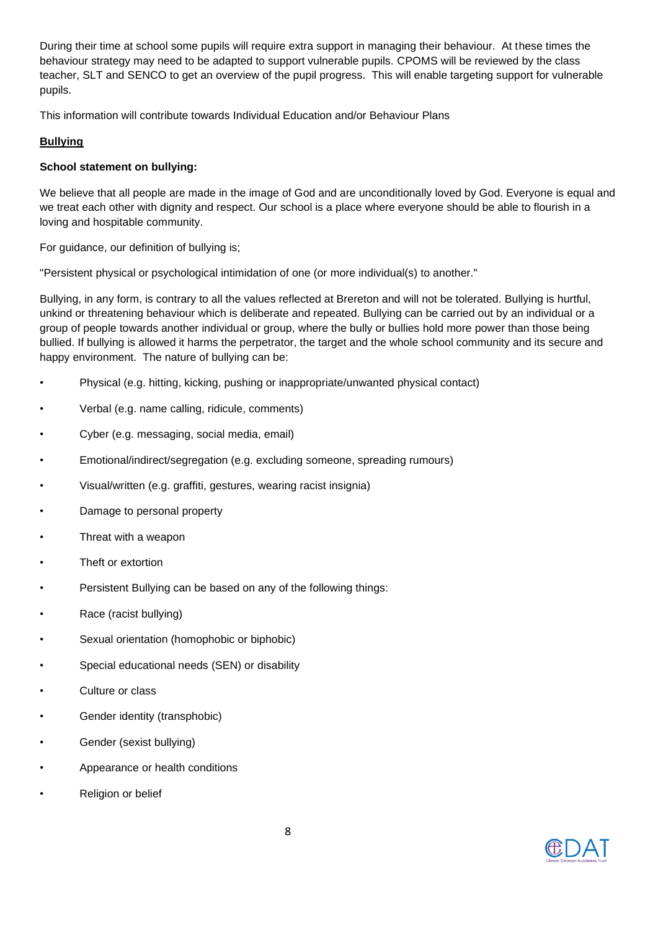During their time at school some pupils will require extra support in managing their behaviour. At these times the behaviour strategy may need to be adapted to support vulnerable pupils. CPOMS will be reviewed by the class teacher, SLT and SENCO to get an overview of the pupil progress. This will enable targeting support for vulnerable pupils.

This information will contribute towards Individual Education and/or Behaviour Plans

## **Bullying**

## **School statement on bullying:**

We believe that all people are made in the image of God and are unconditionally loved by God. Everyone is equal and we treat each other with dignity and respect. Our school is a place where everyone should be able to flourish in a loving and hospitable community.

For guidance, our definition of bullying is;

"Persistent physical or psychological intimidation of one (or more individual(s) to another."

Bullying, in any form, is contrary to all the values reflected at Brereton and will not be tolerated. Bullying is hurtful, unkind or threatening behaviour which is deliberate and repeated. Bullying can be carried out by an individual or a group of people towards another individual or group, where the bully or bullies hold more power than those being bullied. If bullying is allowed it harms the perpetrator, the target and the whole school community and its secure and happy environment. The nature of bullying can be:

- Physical (e.g. hitting, kicking, pushing or inappropriate/unwanted physical contact)
- Verbal (e.g. name calling, ridicule, comments)
- Cyber (e.g. messaging, social media, email)
- Emotional/indirect/segregation (e.g. excluding someone, spreading rumours)
- Visual/written (e.g. graffiti, gestures, wearing racist insignia)
- Damage to personal property
- Threat with a weapon
- Theft or extortion
- Persistent Bullying can be based on any of the following things:
- Race (racist bullying)
- Sexual orientation (homophobic or biphobic)
- Special educational needs (SEN) or disability
- Culture or class
- Gender identity (transphobic)
- Gender (sexist bullying)
- Appearance or health conditions
- Religion or belief

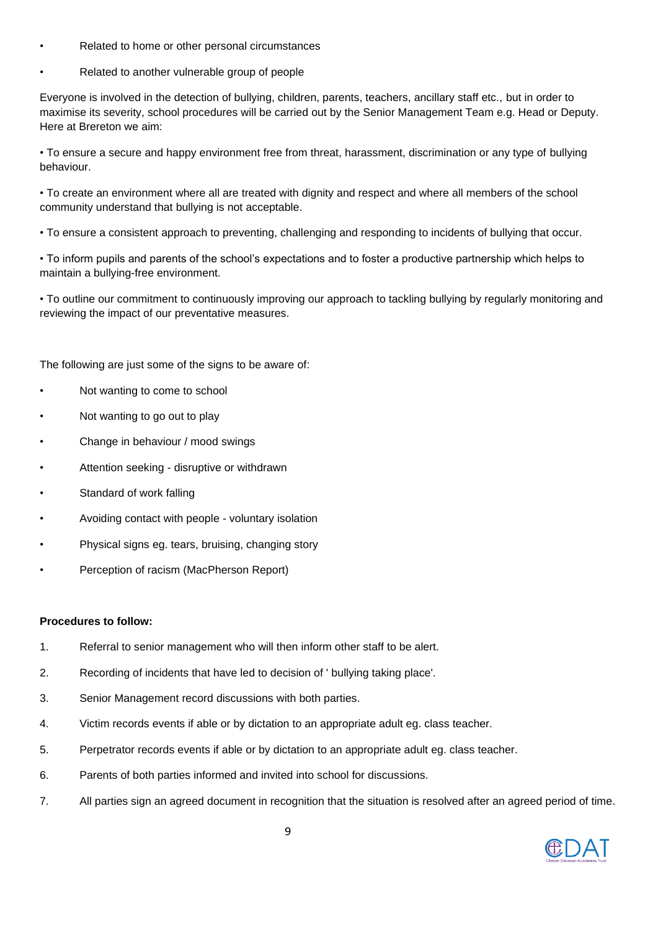- Related to home or other personal circumstances
- Related to another vulnerable group of people

Everyone is involved in the detection of bullying, children, parents, teachers, ancillary staff etc., but in order to maximise its severity, school procedures will be carried out by the Senior Management Team e.g. Head or Deputy. Here at Brereton we aim:

• To ensure a secure and happy environment free from threat, harassment, discrimination or any type of bullying behaviour.

• To create an environment where all are treated with dignity and respect and where all members of the school community understand that bullying is not acceptable.

• To ensure a consistent approach to preventing, challenging and responding to incidents of bullying that occur.

• To inform pupils and parents of the school's expectations and to foster a productive partnership which helps to maintain a bullying-free environment.

• To outline our commitment to continuously improving our approach to tackling bullying by regularly monitoring and reviewing the impact of our preventative measures.

The following are just some of the signs to be aware of:

- Not wanting to come to school
- Not wanting to go out to play
- Change in behaviour / mood swings
- Attention seeking disruptive or withdrawn
- Standard of work falling
- Avoiding contact with people voluntary isolation
- Physical signs eg. tears, bruising, changing story
- Perception of racism (MacPherson Report)

#### **Procedures to follow:**

- 1. Referral to senior management who will then inform other staff to be alert.
- 2. Recording of incidents that have led to decision of ' bullying taking place'.
- 3. Senior Management record discussions with both parties.
- 4. Victim records events if able or by dictation to an appropriate adult eg. class teacher.
- 5. Perpetrator records events if able or by dictation to an appropriate adult eg. class teacher.
- 6. Parents of both parties informed and invited into school for discussions.
- 7. All parties sign an agreed document in recognition that the situation is resolved after an agreed period of time.

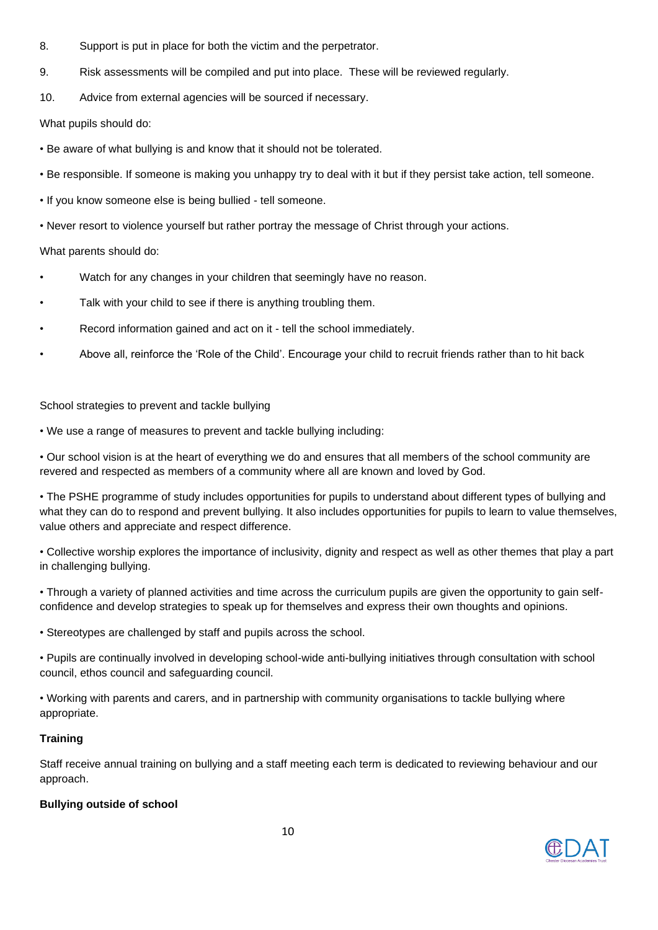- 8. Support is put in place for both the victim and the perpetrator.
- 9. Risk assessments will be compiled and put into place. These will be reviewed regularly.
- 10. Advice from external agencies will be sourced if necessary.

What pupils should do:

- Be aware of what bullying is and know that it should not be tolerated.
- Be responsible. If someone is making you unhappy try to deal with it but if they persist take action, tell someone.
- If you know someone else is being bullied tell someone.
- Never resort to violence yourself but rather portray the message of Christ through your actions.

## What parents should do:

- Watch for any changes in your children that seemingly have no reason.
- Talk with your child to see if there is anything troubling them.
- Record information gained and act on it tell the school immediately.
- Above all, reinforce the 'Role of the Child'. Encourage your child to recruit friends rather than to hit back

## School strategies to prevent and tackle bullying

• We use a range of measures to prevent and tackle bullying including:

• Our school vision is at the heart of everything we do and ensures that all members of the school community are revered and respected as members of a community where all are known and loved by God.

• The PSHE programme of study includes opportunities for pupils to understand about different types of bullying and what they can do to respond and prevent bullying. It also includes opportunities for pupils to learn to value themselves, value others and appreciate and respect difference.

• Collective worship explores the importance of inclusivity, dignity and respect as well as other themes that play a part in challenging bullying.

• Through a variety of planned activities and time across the curriculum pupils are given the opportunity to gain selfconfidence and develop strategies to speak up for themselves and express their own thoughts and opinions.

• Stereotypes are challenged by staff and pupils across the school.

• Pupils are continually involved in developing school-wide anti-bullying initiatives through consultation with school council, ethos council and safeguarding council.

• Working with parents and carers, and in partnership with community organisations to tackle bullying where appropriate.

# **Training**

Staff receive annual training on bullying and a staff meeting each term is dedicated to reviewing behaviour and our approach.

# **Bullying outside of school**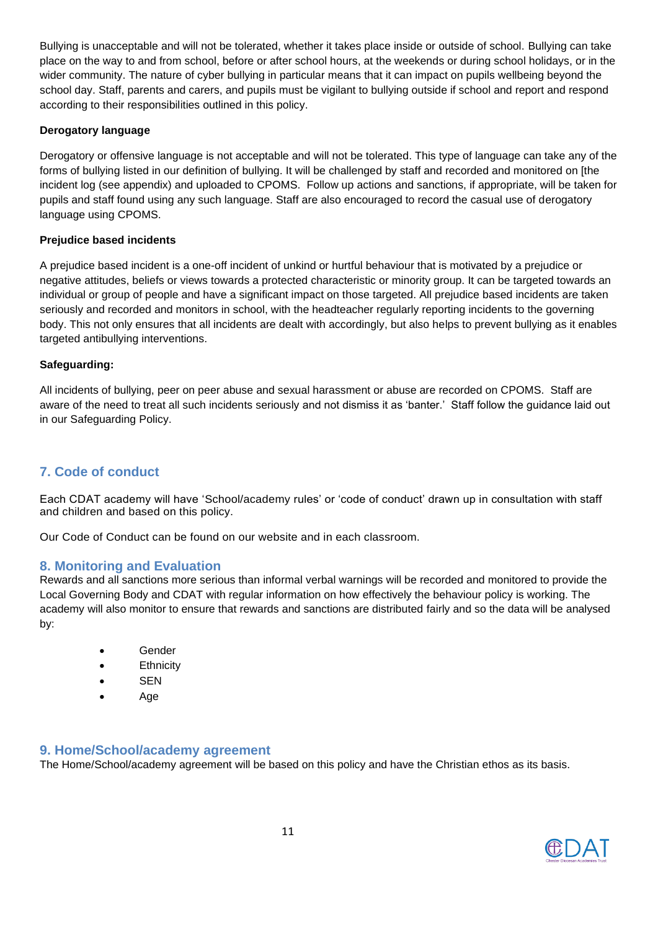Bullying is unacceptable and will not be tolerated, whether it takes place inside or outside of school. Bullying can take place on the way to and from school, before or after school hours, at the weekends or during school holidays, or in the wider community. The nature of cyber bullying in particular means that it can impact on pupils wellbeing beyond the school day. Staff, parents and carers, and pupils must be vigilant to bullying outside if school and report and respond according to their responsibilities outlined in this policy.

## **Derogatory language**

Derogatory or offensive language is not acceptable and will not be tolerated. This type of language can take any of the forms of bullying listed in our definition of bullying. It will be challenged by staff and recorded and monitored on [the incident log (see appendix) and uploaded to CPOMS. Follow up actions and sanctions, if appropriate, will be taken for pupils and staff found using any such language. Staff are also encouraged to record the casual use of derogatory language using CPOMS.

#### **Prejudice based incidents**

A prejudice based incident is a one-off incident of unkind or hurtful behaviour that is motivated by a prejudice or negative attitudes, beliefs or views towards a protected characteristic or minority group. It can be targeted towards an individual or group of people and have a significant impact on those targeted. All prejudice based incidents are taken seriously and recorded and monitors in school, with the headteacher regularly reporting incidents to the governing body. This not only ensures that all incidents are dealt with accordingly, but also helps to prevent bullying as it enables targeted antibullying interventions.

#### **Safeguarding:**

All incidents of bullying, peer on peer abuse and sexual harassment or abuse are recorded on CPOMS. Staff are aware of the need to treat all such incidents seriously and not dismiss it as 'banter.' Staff follow the guidance laid out in our Safeguarding Policy.

# <span id="page-10-0"></span>**7. Code of conduct**

Each CDAT academy will have 'School/academy rules' or 'code of conduct' drawn up in consultation with staff and children and based on this policy.

Our Code of Conduct can be found on our website and in each classroom.

## <span id="page-10-1"></span>**8. Monitoring and Evaluation**

Rewards and all sanctions more serious than informal verbal warnings will be recorded and monitored to provide the Local Governing Body and CDAT with regular information on how effectively the behaviour policy is working. The academy will also monitor to ensure that rewards and sanctions are distributed fairly and so the data will be analysed by:

- **Gender**
- Ethnicity
- SEN
- Age

## <span id="page-10-2"></span>**9. Home/School/academy agreement**

The Home/School/academy agreement will be based on this policy and have the Christian ethos as its basis.